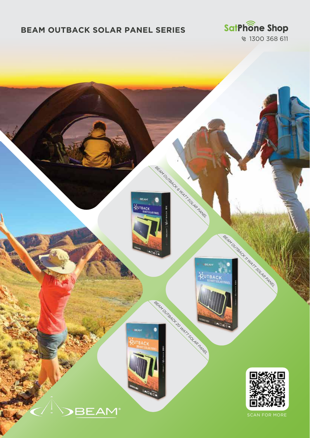## **BEAM OUTBACK SOLAR PANEL SERIES**